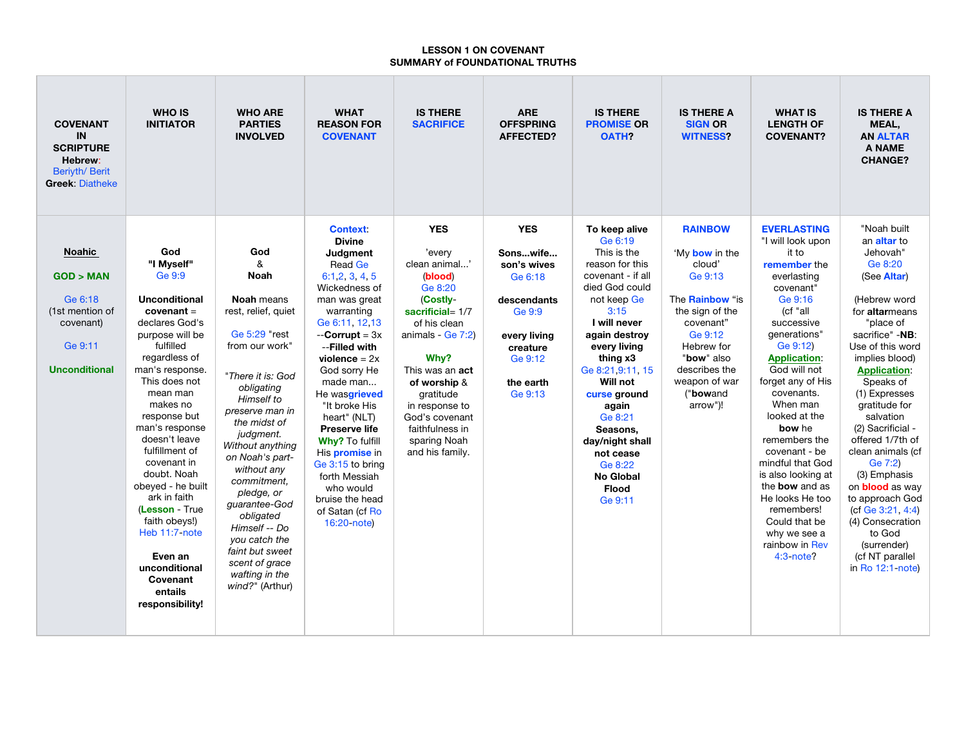## **LESSON 1 ON COVENANT SUMMARY of FOUNDATIONAL TRUTHS**

| <b>COVENANT</b><br><b>IN</b><br><b>SCRIPTURE</b><br>Hebrew:<br>Beriyth/ Berit<br><b>Greek: Diatheke</b> | <b>WHO IS</b><br><b>INITIATOR</b> | <b>WHO ARE</b><br><b>PARTIES</b><br><b>INVOLVED</b> | <b>WHAT</b><br><b>REASON FOR</b><br><b>COVENANT</b> | <b>IS THERE</b><br><b>SACRIFICE</b> | <b>ARE</b><br><b>OFFSPRING</b><br><b>AFFECTED?</b> | <b>IS THERE</b><br><b>PROMISE OR</b><br><b>OATH?</b> | <b>IS THERE A</b><br><b>SIGN OR</b><br><b>WITNESS?</b> | <b>WHAT IS</b><br><b>LENGTH OF</b><br><b>COVENANT?</b> | <b>IS THERE A</b><br>MEAL,<br><b>AN ALTAR</b><br>A NAME<br><b>CHANGE?</b> |
|---------------------------------------------------------------------------------------------------------|-----------------------------------|-----------------------------------------------------|-----------------------------------------------------|-------------------------------------|----------------------------------------------------|------------------------------------------------------|--------------------------------------------------------|--------------------------------------------------------|---------------------------------------------------------------------------|
|                                                                                                         |                                   |                                                     | <b>Context:</b><br><b>Divine</b>                    | <b>YES</b>                          | <b>YES</b>                                         | To keep alive<br>Ge 6:19                             | <b>RAINBOW</b>                                         | <b>EVERLASTING</b><br>"I will look upon                | "Noah built<br>an altar to                                                |
| <b>Noahic</b>                                                                                           | God                               | God                                                 | Judgment                                            | 'every                              | Sonswife                                           | This is the                                          | 'My bow in the                                         | it to                                                  | Jehovah"                                                                  |
|                                                                                                         | "I Mvself"                        | &                                                   | Read Ge                                             | clean animal'                       | son's wives                                        | reason for this                                      | cloud'                                                 | remember the                                           | Ge 8:20                                                                   |
| GOD > MAN                                                                                               | Ge 9:9                            | <b>Noah</b>                                         | 6:1,2,3,4,5                                         | (blood)                             | Ge 6:18                                            | covenant - if all                                    | Ge 9:13                                                | everlasting                                            | (See Altar)                                                               |
|                                                                                                         |                                   |                                                     | Wickedness of                                       | Ge 8:20                             |                                                    | died God could                                       |                                                        | covenant"                                              |                                                                           |
| Ge 6:18                                                                                                 | <b>Unconditional</b>              | <b>Noah</b> means                                   | man was great                                       | (Costly-                            | descendants                                        | not keep Ge                                          | The <b>Rainbow</b> "is                                 | Ge 9:16                                                | (Hebrew word                                                              |
| (1st mention of                                                                                         | $coverant =$                      | rest, relief, quiet                                 | warranting                                          | sacrificial= $1/7$                  | Ge 9:9                                             | 3:15                                                 | the sign of the                                        | (cf "all                                               | for altarmeans                                                            |
| covenant)                                                                                               | declares God's                    |                                                     | Ge 6:11, 12,13                                      | of his clean                        |                                                    | I will never                                         | covenant"                                              | successive                                             | "place of                                                                 |
|                                                                                                         | purpose will be                   | Ge 5:29 "rest                                       | $-$ <b>Corrupt</b> = $3x$                           | animals - $Ge 7:2$                  | every living                                       | again destroy                                        | Ge 9:12                                                | generations"                                           | sacrifice" -NB:                                                           |
| Ge 9:11                                                                                                 | fulfilled                         | from our work"                                      | --Filled with                                       |                                     | creature                                           | every living                                         | Hebrew for                                             | Ge 9:12)                                               | Use of this word                                                          |
|                                                                                                         | regardless of                     |                                                     | violence = $2x$                                     | Why?                                | Ge 9:12                                            | thing x3                                             | "bow" also                                             | <b>Application:</b>                                    | implies blood)                                                            |
| <b>Unconditional</b>                                                                                    | man's response.                   | "There it is: God                                   | God sorry He                                        | This was an <b>act</b>              |                                                    | Ge 8:21.9:11, 15                                     | describes the                                          | God will not                                           | <b>Application:</b>                                                       |
|                                                                                                         | This does not<br>mean man         | obligating                                          | made man                                            | of worship &                        | the earth                                          | Will not                                             | weapon of war                                          | forget any of His                                      | Speaks of                                                                 |
|                                                                                                         | makes no                          | Himself to                                          | He wasgrieved                                       | gratitude                           | Ge 9:13                                            | curse ground                                         | ("bowand")                                             | covenants.<br>When man                                 | (1) Expresses<br>gratitude for                                            |
|                                                                                                         | response but                      | preserve man in                                     | "It broke His<br>heart" (NLT)                       | in response to<br>God's covenant    |                                                    | again<br>Ge 8:21                                     | arrow")!                                               | looked at the                                          | salvation                                                                 |
|                                                                                                         | man's response                    | the midst of                                        | <b>Preserve life</b>                                | faithfulness in                     |                                                    | Seasons.                                             |                                                        | bow he                                                 | (2) Sacrificial -                                                         |
|                                                                                                         | doesn't leave                     | judgment.                                           | <b>Why? To fulfill</b>                              | sparing Noah                        |                                                    | day/night shall                                      |                                                        | remembers the                                          | offered 1/7th of                                                          |
|                                                                                                         | fulfillment of                    | Without anything                                    | His promise in                                      | and his family.                     |                                                    | not cease                                            |                                                        | covenant - be                                          | clean animals (cf                                                         |
|                                                                                                         | covenant in                       | on Noah's part-                                     | Ge 3:15 to bring                                    |                                     |                                                    | Ge 8:22                                              |                                                        | mindful that God                                       | Ge 7:2)                                                                   |
|                                                                                                         | doubt. Noah                       | without any                                         | forth Messiah                                       |                                     |                                                    | No Global                                            |                                                        | is also looking at                                     | (3) Emphasis                                                              |
|                                                                                                         | obeyed - he built                 | commitment.                                         | who would                                           |                                     |                                                    | <b>Flood</b>                                         |                                                        | the bow and as                                         | on <b>blood</b> as way                                                    |
|                                                                                                         | ark in faith                      | pledge, or<br>guarantee-God                         | bruise the head                                     |                                     |                                                    | Ge 9:11                                              |                                                        | He looks He too                                        | to approach God                                                           |
|                                                                                                         | (Lesson - True                    | obligated                                           | of Satan (cf Ro                                     |                                     |                                                    |                                                      |                                                        | remembers!                                             | (cf Ge 3:21, 4:4)                                                         |
|                                                                                                         | faith obeys!)                     | Himself -- Do                                       | 16:20-note)                                         |                                     |                                                    |                                                      |                                                        | Could that be                                          | (4) Consecration                                                          |
|                                                                                                         | Heb 11:7-note                     | you catch the                                       |                                                     |                                     |                                                    |                                                      |                                                        | why we see a                                           | to God                                                                    |
|                                                                                                         |                                   | faint but sweet                                     |                                                     |                                     |                                                    |                                                      |                                                        | rainbow in Rev                                         | (surrender)                                                               |
|                                                                                                         | Even an                           | scent of grace                                      |                                                     |                                     |                                                    |                                                      |                                                        | $4:3$ -note?                                           | (cf NT parallel                                                           |
|                                                                                                         | unconditional                     | wafting in the                                      |                                                     |                                     |                                                    |                                                      |                                                        |                                                        | in Ro 12:1-note)                                                          |
|                                                                                                         | Covenant                          | wind?" (Arthur)                                     |                                                     |                                     |                                                    |                                                      |                                                        |                                                        |                                                                           |
|                                                                                                         | entails                           |                                                     |                                                     |                                     |                                                    |                                                      |                                                        |                                                        |                                                                           |
|                                                                                                         | responsibility!                   |                                                     |                                                     |                                     |                                                    |                                                      |                                                        |                                                        |                                                                           |
|                                                                                                         |                                   |                                                     |                                                     |                                     |                                                    |                                                      |                                                        |                                                        |                                                                           |
|                                                                                                         |                                   |                                                     |                                                     |                                     |                                                    |                                                      |                                                        |                                                        |                                                                           |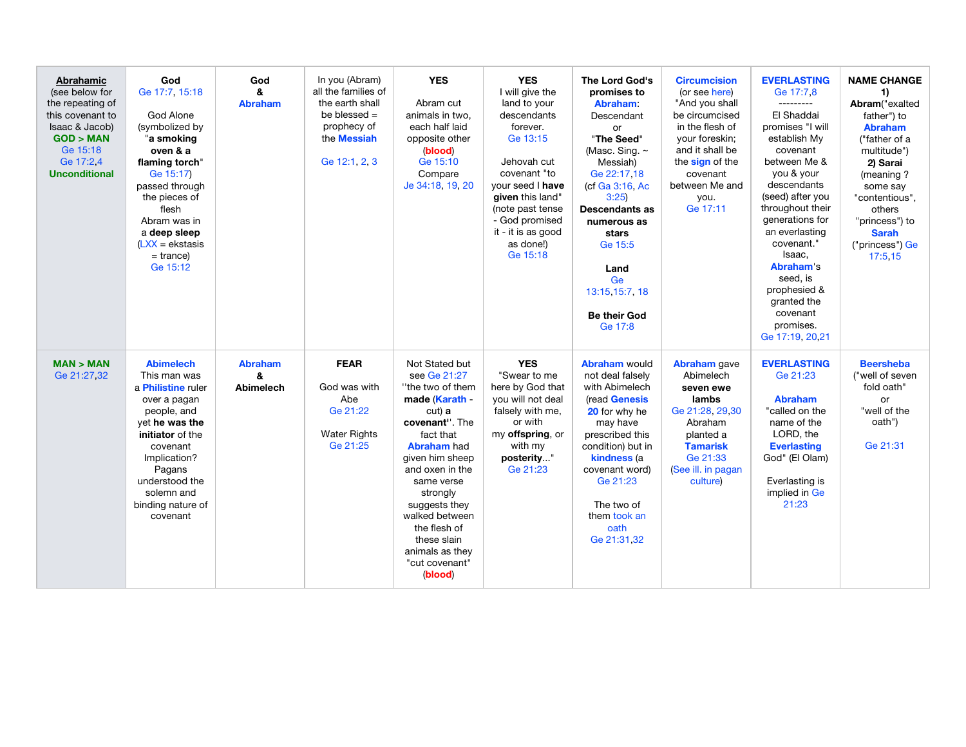| Abrahamic<br>(see below for<br>the repeating of<br>this covenant to<br>Isaac & Jacob)<br>GOD > MAN<br>Ge 15:18<br>Ge 17:2.4<br><b>Unconditional</b> | God<br>Ge 17:7, 15:18<br>God Alone<br>(symbolized by<br>"a smoking<br>oven & a<br>flaming torch"<br>Ge 15:17)<br>passed through<br>the pieces of<br>flesh<br>Abram was in<br>a deep sleep<br>$(LXX)$ = ekstasis<br>$=$ trance)<br>Ge 15:12 | God<br>&<br><b>Abraham</b>       | In you (Abram)<br>all the families of<br>the earth shall<br>be blessed $=$<br>prophecy of<br>the <b>Messiah</b><br>Ge 12:1, 2, 3 | <b>YES</b><br>Abram cut<br>animals in two.<br>each half laid<br>opposite other<br>(blood)<br>Ge 15:10<br>Compare<br>Je 34:18, 19, 20                                                                                                                                                                                  | <b>YES</b><br>I will give the<br>land to your<br>descendants<br>forever.<br>Ge 13:15<br>Jehovah cut<br>covenant "to<br>vour seed I have<br>given this land"<br>(note past tense<br>- God promised<br>it - it is as good<br>as done!)<br>Ge 15:18 | The Lord God's<br>promises to<br><b>Abraham</b><br>Descendant<br>or<br>"The Seed"<br>(Masc. Sing. ~<br>Messiah)<br>Ge 22:17.18<br>(cf Ga 3:16, Ac<br>3:25<br>Descendants as<br>numerous as<br>stars<br>Ge 15:5<br>Land<br>Ge<br>13:15,15:7, 18<br><b>Be their God</b><br>Ge 17:8 | <b>Circumcision</b><br>(or see here)<br>"And you shall<br>be circumcised<br>in the flesh of<br>your foreskin;<br>and it shall be<br>the sign of the<br>covenant<br>between Me and<br>you.<br>Ge 17:11 | <b>EVERLASTING</b><br>Ge 17:7,8<br>---------<br>El Shaddai<br>promises "I will<br>establish My<br>covenant<br>between Me &<br>you & your<br>descendants<br>(seed) after you<br>throughout their<br>generations for<br>an everlasting<br>covenant."<br>Isaac.<br>Abraham's<br>seed, is<br>prophesied &<br>granted the<br>covenant<br>promises.<br>Ge 17:19, 20,21 | <b>NAME CHANGE</b><br>1)<br>Abram("exalted<br>father") to<br><b>Abraham</b><br>("father of a<br>multitude")<br>2) Sarai<br>(meaning?<br>some say<br>"contentious",<br>others<br>"princess") to<br><b>Sarah</b><br>("princess") Ge<br>17:5.15 |
|-----------------------------------------------------------------------------------------------------------------------------------------------------|--------------------------------------------------------------------------------------------------------------------------------------------------------------------------------------------------------------------------------------------|----------------------------------|----------------------------------------------------------------------------------------------------------------------------------|-----------------------------------------------------------------------------------------------------------------------------------------------------------------------------------------------------------------------------------------------------------------------------------------------------------------------|--------------------------------------------------------------------------------------------------------------------------------------------------------------------------------------------------------------------------------------------------|----------------------------------------------------------------------------------------------------------------------------------------------------------------------------------------------------------------------------------------------------------------------------------|-------------------------------------------------------------------------------------------------------------------------------------------------------------------------------------------------------|------------------------------------------------------------------------------------------------------------------------------------------------------------------------------------------------------------------------------------------------------------------------------------------------------------------------------------------------------------------|----------------------------------------------------------------------------------------------------------------------------------------------------------------------------------------------------------------------------------------------|
| MAN > MAN<br>Ge 21:27,32                                                                                                                            | <b>Abimelech</b><br>This man was<br>a Philistine ruler<br>over a pagan<br>people, and<br>yet he was the<br>initiator of the<br>covenant<br>Implication?<br>Pagans<br>understood the<br>solemn and<br>binding nature of<br>covenant         | <b>Abraham</b><br>8<br>Abimelech | <b>FEAR</b><br>God was with<br>Abe<br>Ge 21:22<br><b>Water Rights</b><br>Ge 21:25                                                | Not Stated but<br>see Ge 21:27<br>"the two of them<br>made (Karath -<br>cut) a<br>covenant". The<br>fact that<br><b>Abraham</b> had<br>given him sheep<br>and oxen in the<br>same verse<br>strongly<br>suggests they<br>walked between<br>the flesh of<br>these slain<br>animals as they<br>"cut covenant"<br>(blood) | <b>YES</b><br>"Swear to me<br>here by God that<br>you will not deal<br>falsely with me,<br>or with<br>my offspring, or<br>with my<br>posterity"<br>Ge 21:23                                                                                      | <b>Abraham would</b><br>not deal falsely<br>with Abimelech<br>(read Genesis<br>20 for why he<br>may have<br>prescribed this<br>condition) but in<br>kindness (a<br>covenant word)<br>Ge 21:23<br>The two of<br>them took an<br>oath<br>Ge 21:31.32                               | <b>Abraham</b> gave<br>Abimelech<br>seven ewe<br>lambs<br>Ge 21:28, 29,30<br>Abraham<br>planted a<br><b>Tamarisk</b><br>Ge 21:33<br>(See ill. in pagan<br>culture)                                    | <b>EVERLASTING</b><br>Ge 21:23<br><b>Abraham</b><br>"called on the<br>name of the<br>LORD, the<br><b>Everlasting</b><br>God" (El Olam)<br>Everlasting is<br>implied in Ge<br>21:23                                                                                                                                                                               | <b>Beersheba</b><br>("well of seven<br>fold oath"<br>or<br>"well of the<br>oath")<br>Ge 21:31                                                                                                                                                |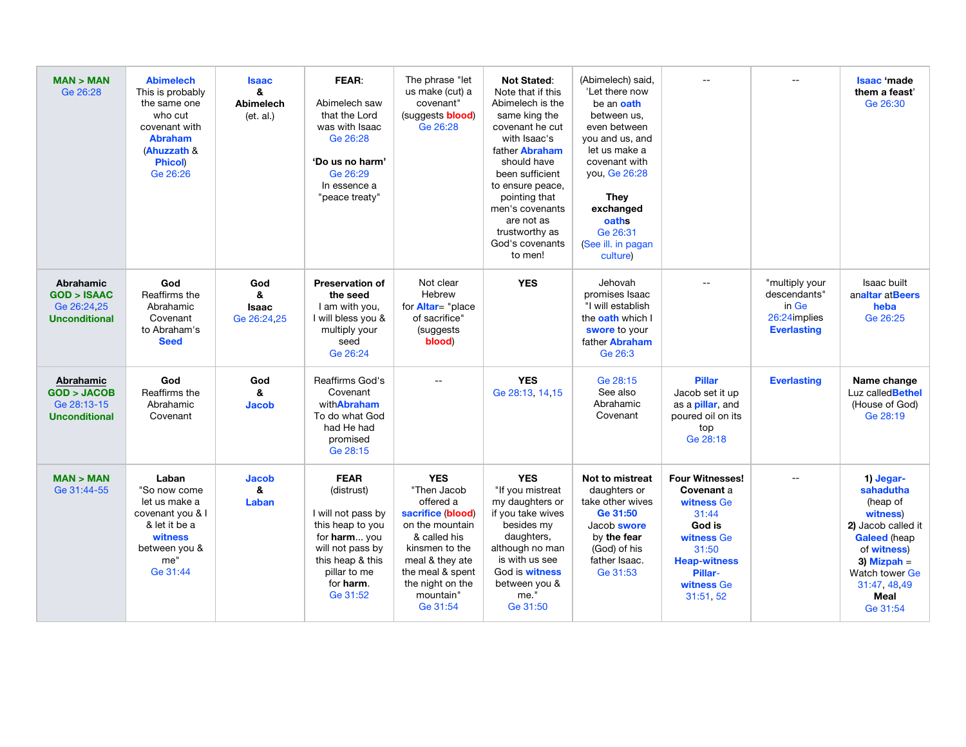| MAN > MAN<br>Ge 26:28                                                            | <b>Abimelech</b><br>This is probably<br>the same one<br>who cut<br>covenant with<br><b>Abraham</b><br>(Ahuzzath &<br><b>Phicol)</b><br>Ge 26:26 | <b>Isaac</b><br>&<br>Abimelech<br>(et. al.) | <b>FEAR:</b><br>Abimelech saw<br>that the Lord<br>was with Isaac<br>Ge 26:28<br>'Do us no harm'<br>Ge 26:29<br>In essence a<br>"peace treaty"                        | The phrase "let<br>us make (cut) a<br>covenant"<br>(suggests <b>blood</b> )<br>Ge 26:28                                                                                                              | <b>Not Stated:</b><br>Note that if this<br>Abimelech is the<br>same king the<br>covenant he cut<br>with Isaac's<br>father Abraham<br>should have<br>been sufficient<br>to ensure peace,<br>pointing that<br>men's covenants<br>are not as<br>trustworthy as<br>God's covenants<br>to men! | (Abimelech) said,<br>'Let there now<br>be an oath<br>between us,<br>even between<br>you and us, and<br>let us make a<br>covenant with<br>vou, Ge 26:28<br><b>They</b><br>exchanged<br>oaths<br>Ge 26:31<br>(See ill. in pagan<br>culture) |                                                                                                                                                           | $-$                                                                           | Isaac 'made<br>them a feast'<br>Ge 26:30                                                                                                                                           |
|----------------------------------------------------------------------------------|-------------------------------------------------------------------------------------------------------------------------------------------------|---------------------------------------------|----------------------------------------------------------------------------------------------------------------------------------------------------------------------|------------------------------------------------------------------------------------------------------------------------------------------------------------------------------------------------------|-------------------------------------------------------------------------------------------------------------------------------------------------------------------------------------------------------------------------------------------------------------------------------------------|-------------------------------------------------------------------------------------------------------------------------------------------------------------------------------------------------------------------------------------------|-----------------------------------------------------------------------------------------------------------------------------------------------------------|-------------------------------------------------------------------------------|------------------------------------------------------------------------------------------------------------------------------------------------------------------------------------|
| <b>Abrahamic</b><br><b>GOD &gt; ISAAC</b><br>Ge 26:24.25<br><b>Unconditional</b> | God<br>Reaffirms the<br>Abrahamic<br>Covenant<br>to Abraham's<br><b>Seed</b>                                                                    | God<br>&<br><b>Isaac</b><br>Ge 26:24,25     | <b>Preservation of</b><br>the seed<br>I am with you,<br>I will bless you &<br>multiply your<br>seed<br>Ge 26:24                                                      | Not clear<br>Hebrew<br>for <b>Altar</b> = "place<br>of sacrifice"<br>(suggests<br>blood)                                                                                                             | <b>YES</b>                                                                                                                                                                                                                                                                                | Jehovah<br>promises Isaac<br>"I will establish<br>the oath which I<br>swore to your<br>father Abraham<br>Ge 26:3                                                                                                                          |                                                                                                                                                           | "multiply your<br>descendants"<br>in Ge<br>26:24implies<br><b>Everlasting</b> | <b>Isaac</b> built<br>analtar at Beers<br>heba<br>Ge 26:25                                                                                                                         |
| Abrahamic<br>GOD > JACOB<br>Ge 28:13-15<br><b>Unconditional</b>                  | God<br>Reaffirms the<br>Abrahamic<br>Covenant                                                                                                   | God<br>&<br><b>Jacob</b>                    | Reaffirms God's<br>Covenant<br>withAbraham<br>To do what God<br>had He had<br>promised<br>Ge 28:15                                                                   | $-$                                                                                                                                                                                                  | <b>YES</b><br>Ge 28:13, 14.15                                                                                                                                                                                                                                                             | Ge 28:15<br>See also<br>Abrahamic<br>Covenant                                                                                                                                                                                             | <b>Pillar</b><br>Jacob set it up<br>as a <i>pillar</i> , and<br>poured oil on its<br>top<br>Ge 28:18                                                      | <b>Everlasting</b>                                                            | Name change<br>Luz called Bethel<br>(House of God)<br>Ge 28:19                                                                                                                     |
| MAN > MAN<br>Ge 31:44-55                                                         | Laban<br>"So now come<br>let us make a<br>covenant you & I<br>& let it be a<br>witness<br>between you &<br>me"<br>Ge 31:44                      | <b>Jacob</b><br>&<br>Laban                  | <b>FEAR</b><br>(distrust)<br>I will not pass by<br>this heap to you<br>for harm you<br>will not pass by<br>this heap & this<br>pillar to me<br>for harm.<br>Ge 31:52 | <b>YES</b><br>"Then Jacob<br>offered a<br>sacrifice (blood)<br>on the mountain<br>& called his<br>kinsmen to the<br>meal & they ate<br>the meal & spent<br>the night on the<br>mountain"<br>Ge 31:54 | <b>YES</b><br>"If you mistreat<br>my daughters or<br>if you take wives<br>besides my<br>daughters,<br>although no man<br>is with us see<br>God is witness<br>between you &<br>me."<br>Ge 31:50                                                                                            | Not to mistreat<br>daughters or<br>take other wives<br>Ge 31:50<br>Jacob swore<br>by the fear<br>(God) of his<br>father Isaac.<br>Ge 31:53                                                                                                | <b>Four Witnesses!</b><br>Covenant a<br>witness Ge<br>31:44<br>God is<br>witness Ge<br>31:50<br><b>Heap-witness</b><br>Pillar-<br>witness Ge<br>31:51, 52 | $\overline{a}$                                                                | 1) Jegar-<br>sahadutha<br>(heap of<br>witness)<br>2) Jacob called it<br><b>Galeed</b> (heap<br>of witness)<br>3) Mizpah $=$<br>Watch tower Ge<br>31:47, 48, 49<br>Meal<br>Ge 31:54 |